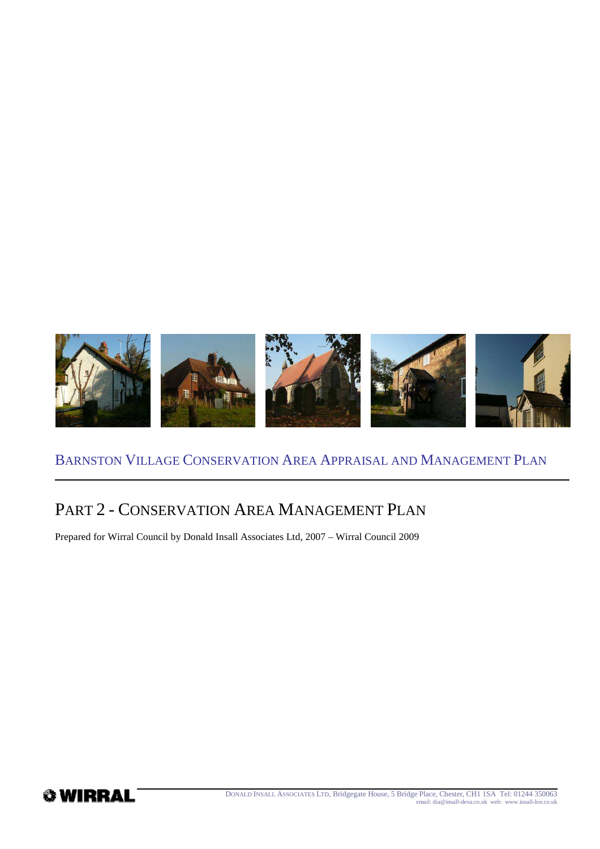

# PART 2 - CONSERVATION AREA MANAGEMENT PLAN

Prepared for Wirral Council by Donald Insall Associates Ltd, 2007 – Wirral Council 2009

**WIRRAL** 

DONALD INSALL ASSOCIATES LTD, Bridgegate House, 5 Bridge Place, Chester, CH1 1SA Tel: 01244 350063 email: dia@insall-deva.co.uk web: www.insall-lon.co.uk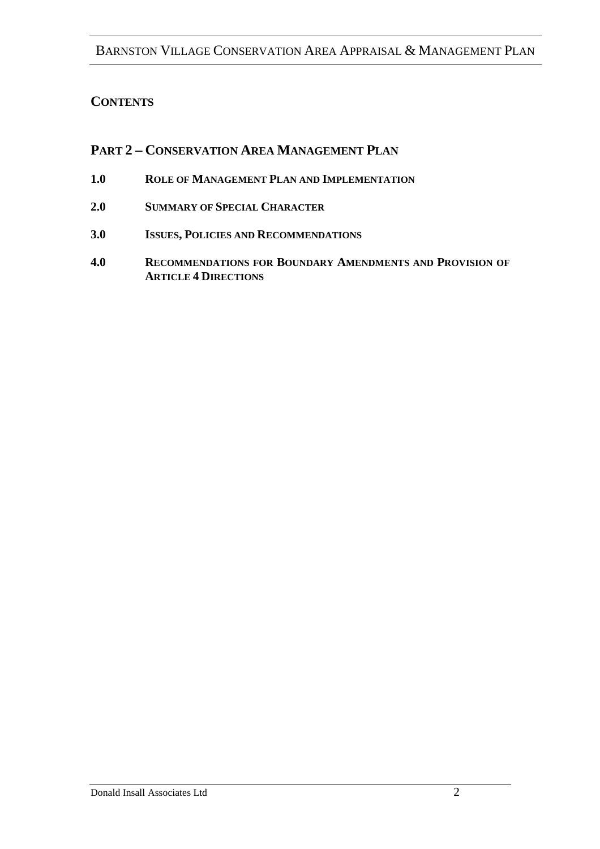#### **CONTENTS**

#### **PART 2 – CONSERVATION AREA MANAGEMENT PLAN**

- **1.0 ROLE OF MANAGEMENT PLAN AND IMPLEMENTATION**
- **2.0 SUMMARY OF SPECIAL CHARACTER**
- **3.0 ISSUES, POLICIES AND RECOMMENDATIONS**
- **4.0 RECOMMENDATIONS FOR BOUNDARY AMENDMENTS AND PROVISION OF ARTICLE 4 DIRECTIONS**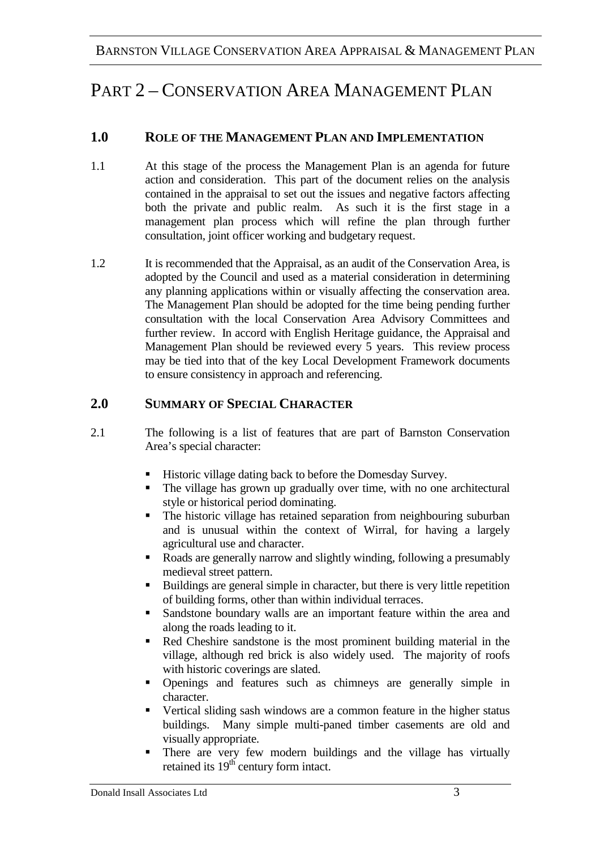# PART 2 – CONSERVATION AREA MANAGEMENT PLAN

### **1.0 ROLE OF THE MANAGEMENT PLAN AND IMPLEMENTATION**

- 1.1 At this stage of the process the Management Plan is an agenda for future action and consideration. This part of the document relies on the analysis contained in the appraisal to set out the issues and negative factors affecting both the private and public realm. As such it is the first stage in a management plan process which will refine the plan through further consultation, joint officer working and budgetary request.
- 1.2 It is recommended that the Appraisal, as an audit of the Conservation Area, is adopted by the Council and used as a material consideration in determining any planning applications within or visually affecting the conservation area. The Management Plan should be adopted for the time being pending further consultation with the local Conservation Area Advisory Committees and further review. In accord with English Heritage guidance, the Appraisal and Management Plan should be reviewed every 5 years. This review process may be tied into that of the key Local Development Framework documents to ensure consistency in approach and referencing.

#### **2.0 SUMMARY OF SPECIAL CHARACTER**

- 2.1 The following is a list of features that are part of Barnston Conservation Area's special character:
	- Historic village dating back to before the Domesday Survey.
	- The village has grown up gradually over time, with no one architectural style or historical period dominating.
	- The historic village has retained separation from neighbouring suburban and is unusual within the context of Wirral, for having a largely agricultural use and character.
	- Roads are generally narrow and slightly winding, following a presumably medieval street pattern.
	- Buildings are general simple in character, but there is very little repetition of building forms, other than within individual terraces.
	- Sandstone boundary walls are an important feature within the area and along the roads leading to it.
	- Red Cheshire sandstone is the most prominent building material in the village, although red brick is also widely used. The majority of roofs with historic coverings are slated.
	- Openings and features such as chimneys are generally simple in character.
	- Vertical sliding sash windows are a common feature in the higher status buildings. Many simple multi-paned timber casements are old and visually appropriate.
	- There are very few modern buildings and the village has virtually retained its 19<sup>th</sup> century form intact.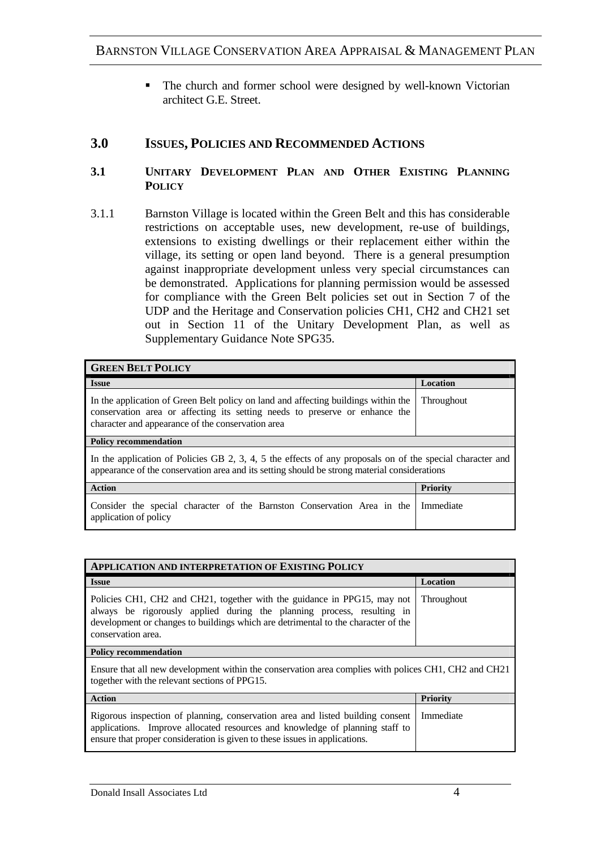• The church and former school were designed by well-known Victorian architect G.E. Street.

#### **3.0 ISSUES, POLICIES AND RECOMMENDED ACTIONS**

#### **3.1 UNITARY DEVELOPMENT PLAN AND OTHER EXISTING PLANNING POLICY**

3.1.1 Barnston Village is located within the Green Belt and this has considerable restrictions on acceptable uses, new development, re-use of buildings, extensions to existing dwellings or their replacement either within the village, its setting or open land beyond. There is a general presumption against inappropriate development unless very special circumstances can be demonstrated. Applications for planning permission would be assessed for compliance with the Green Belt policies set out in Section 7 of the UDP and the Heritage and Conservation policies CH1, CH2 and CH21 set out in Section 11 of the Unitary Development Plan, as well as Supplementary Guidance Note SPG35.

| <b>GREEN BELT POLICY</b>                                                                                                                                                                                               |            |
|------------------------------------------------------------------------------------------------------------------------------------------------------------------------------------------------------------------------|------------|
| <b>Issue</b>                                                                                                                                                                                                           | Location   |
| In the application of Green Belt policy on land and affecting buildings within the<br>conservation area or affecting its setting needs to preserve or enhance the<br>character and appearance of the conservation area | Throughout |
| <b>Policy recommendation</b>                                                                                                                                                                                           |            |
| In the application of Policies GB 2, 3, 4, 5 the effects of any proposals on of the special character and<br>appearance of the conservation area and its setting should be strong material considerations              |            |
| <b>Action</b>                                                                                                                                                                                                          | Priority   |
| Consider the special character of the Barnston Conservation Area in the<br>application of policy                                                                                                                       | Immediate  |

| <b>APPLICATION AND INTERPRETATION OF EXISTING POLICY</b>                                                                                                                                                                                                      |                   |  |
|---------------------------------------------------------------------------------------------------------------------------------------------------------------------------------------------------------------------------------------------------------------|-------------------|--|
| <b>Issue</b>                                                                                                                                                                                                                                                  | Location          |  |
| Policies CH1, CH2 and CH21, together with the guidance in PPG15, may not<br>always be rigorously applied during the planning process, resulting in<br>development or changes to buildings which are detrimental to the character of the<br>conservation area. | <b>Throughout</b> |  |
| <b>Policy recommendation</b>                                                                                                                                                                                                                                  |                   |  |
| Ensure that all new development within the conservation area complies with polices CH1, CH2 and CH21<br>together with the relevant sections of PPG15.                                                                                                         |                   |  |
| <b>Action</b>                                                                                                                                                                                                                                                 | <b>Priority</b>   |  |
| Rigorous inspection of planning, conservation area and listed building consent<br>applications. Improve allocated resources and knowledge of planning staff to<br>ensure that proper consideration is given to these issues in applications.                  | Immediate         |  |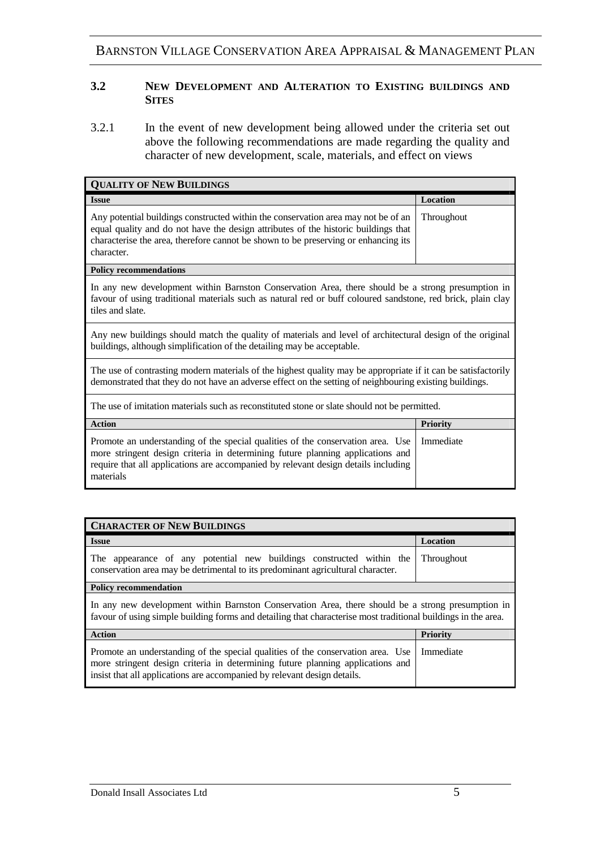#### **3.2 NEW DEVELOPMENT AND ALTERATION TO EXISTING BUILDINGS AND SITES**

3.2.1 In the event of new development being allowed under the criteria set out above the following recommendations are made regarding the quality and character of new development, scale, materials, and effect on views

| <b>QUALITY OF NEW BUILDINGS</b>                                                                                                                                                                                                                                             |                 |
|-----------------------------------------------------------------------------------------------------------------------------------------------------------------------------------------------------------------------------------------------------------------------------|-----------------|
| <b>Issue</b>                                                                                                                                                                                                                                                                | Location        |
| Any potential buildings constructed within the conservation area may not be of an<br>equal quality and do not have the design attributes of the historic buildings that<br>characterise the area, therefore cannot be shown to be preserving or enhancing its<br>character. | Throughout      |
| <b>Policy recommendations</b>                                                                                                                                                                                                                                               |                 |
| In any new development within Barnston Conservation Area, there should be a strong presumption in<br>favour of using traditional materials such as natural red or buff coloured sandstone, red brick, plain clay<br>tiles and slate.                                        |                 |
| Any new buildings should match the quality of materials and level of architectural design of the original<br>buildings, although simplification of the detailing may be acceptable.                                                                                         |                 |
| The use of contrasting modern materials of the highest quality may be appropriate if it can be satisfactorily<br>demonstrated that they do not have an adverse effect on the setting of neighbouring existing buildings.                                                    |                 |
| The use of imitation materials such as reconstituted stone or slate should not be permitted.                                                                                                                                                                                |                 |
| <b>Action</b>                                                                                                                                                                                                                                                               | <b>Priority</b> |
| Promote an understanding of the special qualities of the conservation area. Use<br>more stringent design criteria in determining future planning applications and<br>require that all applications are accompanied by relevant design details including<br>materials        | Immediate       |

| <b>CHARACTER OF NEW BUILDINGS</b>                                                                                                                                                                                                             |                 |  |
|-----------------------------------------------------------------------------------------------------------------------------------------------------------------------------------------------------------------------------------------------|-----------------|--|
| <b>Issue</b>                                                                                                                                                                                                                                  | Location        |  |
| The appearance of any potential new buildings constructed within the<br>conservation area may be detrimental to its predominant agricultural character.                                                                                       | Throughout      |  |
| <b>Policy recommendation</b>                                                                                                                                                                                                                  |                 |  |
| In any new development within Barnston Conservation Area, there should be a strong presumption in<br>favour of using simple building forms and detailing that characterise most traditional buildings in the area.                            |                 |  |
| <b>Action</b>                                                                                                                                                                                                                                 | <b>Priority</b> |  |
| Promote an understanding of the special qualities of the conservation area. Use<br>more stringent design criteria in determining future planning applications and<br>insist that all applications are accompanied by relevant design details. | Immediate       |  |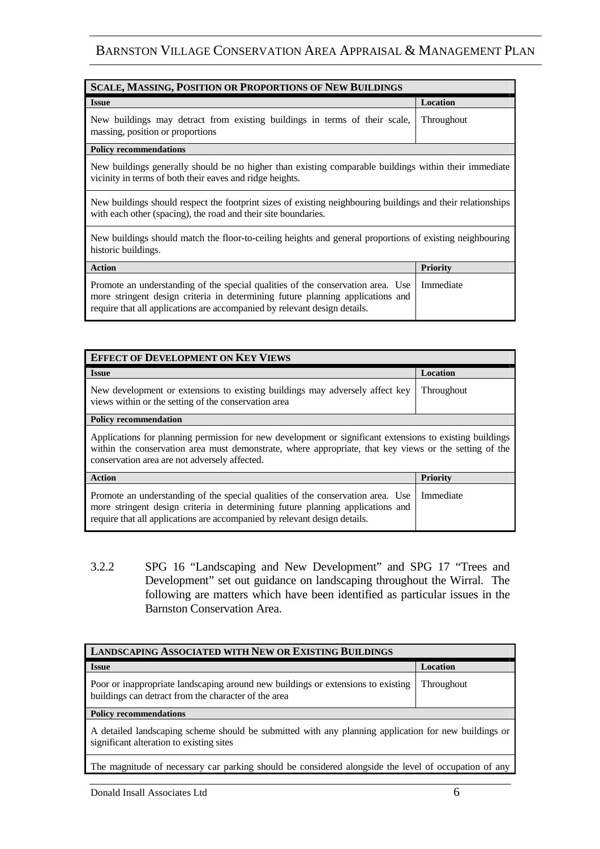| <b>SCALE, MASSING, POSITION OR PROPORTIONS OF NEW BUILDINGS</b>                                                                                                                                                                                |                 |
|------------------------------------------------------------------------------------------------------------------------------------------------------------------------------------------------------------------------------------------------|-----------------|
| <b>Issue</b>                                                                                                                                                                                                                                   | Location        |
| New buildings may detract from existing buildings in terms of their scale,<br>massing, position or proportions                                                                                                                                 | Throughout      |
| <b>Policy recommendations</b>                                                                                                                                                                                                                  |                 |
| New buildings generally should be no higher than existing comparable buildings within their immediate<br>vicinity in terms of both their eaves and ridge heights.                                                                              |                 |
| New buildings should respect the footprint sizes of existing neighbouring buildings and their relationships<br>with each other (spacing), the road and their site boundaries.                                                                  |                 |
| New buildings should match the floor-to-ceiling heights and general proportions of existing neighbouring<br>historic buildings.                                                                                                                |                 |
| <b>Action</b>                                                                                                                                                                                                                                  | <b>Priority</b> |
| Promote an understanding of the special qualities of the conservation area. Use<br>more stringent design criteria in determining future planning applications and<br>require that all applications are accompanied by relevant design details. | Immediate       |

| <b>EFFECT OF DEVELOPMENT ON KEY VIEWS</b>                                                                                                                                                                                                                           |                 |
|---------------------------------------------------------------------------------------------------------------------------------------------------------------------------------------------------------------------------------------------------------------------|-----------------|
| <b>Issue</b>                                                                                                                                                                                                                                                        | Location        |
| New development or extensions to existing buildings may adversely affect key<br>views within or the setting of the conservation area                                                                                                                                | Throughout      |
| <b>Policy recommendation</b>                                                                                                                                                                                                                                        |                 |
| Applications for planning permission for new development or significant extensions to existing buildings<br>within the conservation area must demonstrate, where appropriate, that key views or the setting of the<br>conservation area are not adversely affected. |                 |
| <b>Action</b>                                                                                                                                                                                                                                                       | <b>Priority</b> |
| Promote an understanding of the special qualities of the conservation area. Use<br>more stringent design criteria in determining future planning applications and<br>require that all applications are accompanied by relevant design details.                      | Immediate       |

3.2.2 SPG 16 "Landscaping and New Development" and SPG 17 "Trees and Development" set out guidance on landscaping throughout the Wirral. The following are matters which have been identified as particular issues in the Barnston Conservation Area.

| <b>LANDSCAPING ASSOCIATED WITH NEW OR EXISTING BUILDINGS</b>                                                                                     |            |
|--------------------------------------------------------------------------------------------------------------------------------------------------|------------|
| <b>Issue</b>                                                                                                                                     | Location   |
| Poor or inappropriate landscaping around new buildings or extensions to existing<br>buildings can detract from the character of the area         | Throughout |
| <b>Policy recommendations</b>                                                                                                                    |            |
| A detailed landscaping scheme should be submitted with any planning application for new buildings or<br>significant alteration to existing sites |            |
| The magnitude of necessary car parking should be considered alongside the level of occupation of any                                             |            |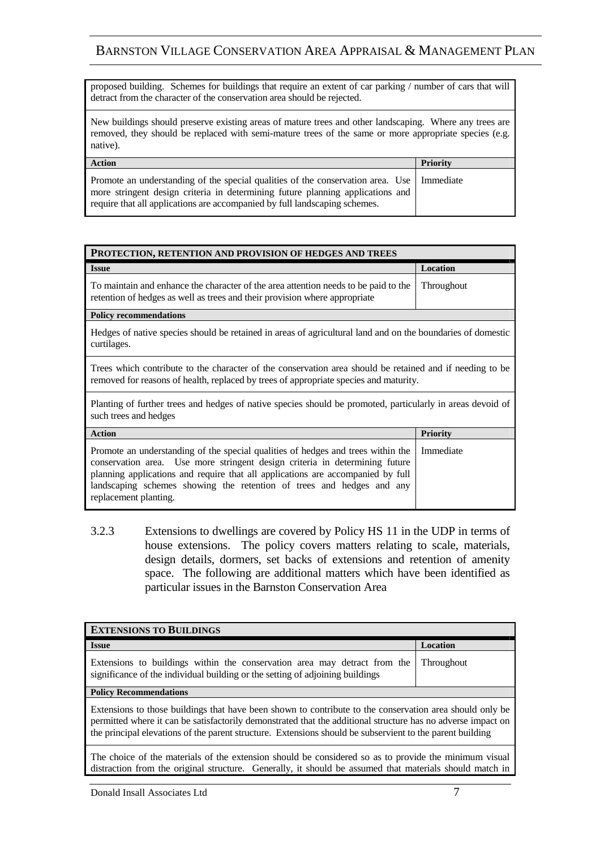proposed building. Schemes for buildings that require an extent of car parking / number of cars that will detract from the character of the conservation area should be rejected.

New buildings should preserve existing areas of mature trees and other landscaping. Where any trees are removed, they should be replaced with semi-mature trees of the same or more appropriate species (e.g. native).

| <b>Action</b>                                                                                                                                                                                                                                               | <b>Priority</b> |
|-------------------------------------------------------------------------------------------------------------------------------------------------------------------------------------------------------------------------------------------------------------|-----------------|
| Promote an understanding of the special qualities of the conservation area. Use   Immediate<br>more stringent design criteria in determining future planning applications and<br>require that all applications are accompanied by full landscaping schemes. |                 |

| PROTECTION, RETENTION AND PROVISION OF HEDGES AND TREES                                                                                                                                           |            |
|---------------------------------------------------------------------------------------------------------------------------------------------------------------------------------------------------|------------|
| <b>Issue</b>                                                                                                                                                                                      | Location   |
| To maintain and enhance the character of the area attention needs to be paid to the<br>retention of hedges as well as trees and their provision where appropriate                                 | Throughout |
| <b>Policy recommendations</b>                                                                                                                                                                     |            |
| Hedges of native species should be retained in areas of agricultural land and on the boundaries of domestic<br>curtilages.                                                                        |            |
| Trees which contribute to the character of the conservation area should be retained and if needing to be<br>removed for reasons of health, replaced by trees of appropriate species and maturity. |            |
| Planting of further trees and hedges of native species should be promoted, particularly in areas devoid of<br>such trees and hedges                                                               |            |

| <b>Action</b>                                                                                                                                                                                                                                                                                                                                                    | <b>Priority</b> |
|------------------------------------------------------------------------------------------------------------------------------------------------------------------------------------------------------------------------------------------------------------------------------------------------------------------------------------------------------------------|-----------------|
| Promote an understanding of the special qualities of hedges and trees within the   Immediate<br>conservation area. Use more stringent design criteria in determining future<br>planning applications and require that all applications are accompanied by full<br>landscaping schemes showing the retention of trees and hedges and any<br>replacement planting. |                 |

3.2.3 Extensions to dwellings are covered by Policy HS 11 in the UDP in terms of house extensions. The policy covers matters relating to scale, materials, design details, dormers, set backs of extensions and retention of amenity space. The following are additional matters which have been identified as particular issues in the Barnston Conservation Area

| <b>EXTENSIONS TO BUILDINGS</b>                                                                                                                                                                                                                                                                                                        |            |  |
|---------------------------------------------------------------------------------------------------------------------------------------------------------------------------------------------------------------------------------------------------------------------------------------------------------------------------------------|------------|--|
| <b>Issue</b>                                                                                                                                                                                                                                                                                                                          | Location   |  |
| Extensions to buildings within the conservation area may detract from the<br>significance of the individual building or the setting of adjoining buildings                                                                                                                                                                            | Throughout |  |
| <b>Policy Recommendations</b>                                                                                                                                                                                                                                                                                                         |            |  |
| Extensions to those buildings that have been shown to contribute to the conservation area should only be<br>permitted where it can be satisfactorily demonstrated that the additional structure has no adverse impact on<br>the principal elevations of the parent structure. Extensions should be subservient to the parent building |            |  |
| The choice of the materials of the extension should be considered so as to provide the minimum visual<br>distraction from the original structure. Generally, it should be assumed that materials should match in                                                                                                                      |            |  |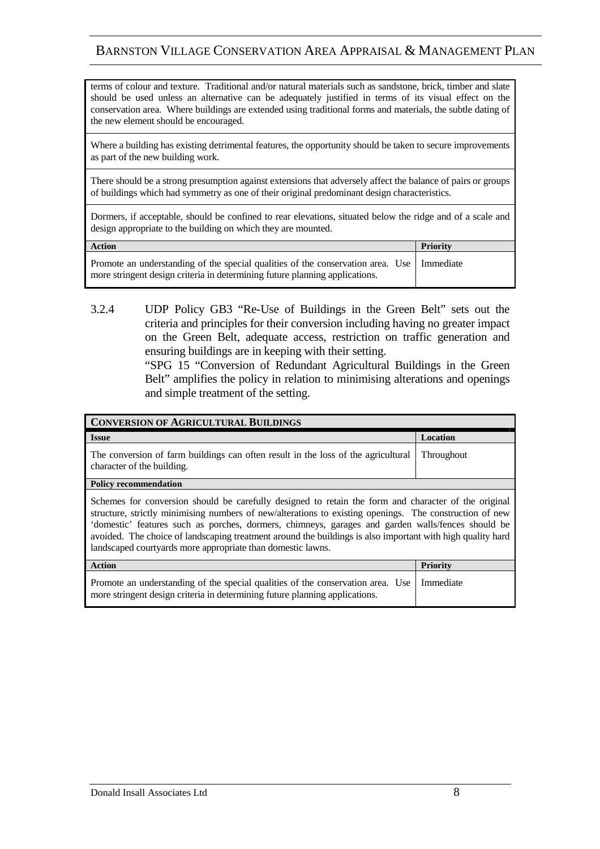terms of colour and texture. Traditional and/or natural materials such as sandstone, brick, timber and slate should be used unless an alternative can be adequately justified in terms of its visual effect on the conservation area. Where buildings are extended using traditional forms and materials, the subtle dating of the new element should be encouraged.

Where a building has existing detrimental features, the opportunity should be taken to secure improvements as part of the new building work.

There should be a strong presumption against extensions that adversely affect the balance of pairs or groups of buildings which had symmetry as one of their original predominant design characteristics.

Dormers, if acceptable, should be confined to rear elevations, situated below the ridge and of a scale and design appropriate to the building on which they are mounted.

| <b>Action</b>                                                                                                                                                              | <b>Priority</b> |
|----------------------------------------------------------------------------------------------------------------------------------------------------------------------------|-----------------|
| Promote an understanding of the special qualities of the conservation area. Use   Immediate<br>more stringent design criteria in determining future planning applications. |                 |

3.2.4 UDP Policy GB3 "Re-Use of Buildings in the Green Belt" sets out the criteria and principles for their conversion including having no greater impact on the Green Belt, adequate access, restriction on traffic generation and ensuring buildings are in keeping with their setting.

> "SPG 15 "Conversion of Redundant Agricultural Buildings in the Green Belt" amplifies the policy in relation to minimising alterations and openings and simple treatment of the setting.

| <b>CONVERSION OF AGRICULTURAL BUILDINGS</b>                                                                                                                                                                                                                                                                                                                                                                                                                                                       |                   |
|---------------------------------------------------------------------------------------------------------------------------------------------------------------------------------------------------------------------------------------------------------------------------------------------------------------------------------------------------------------------------------------------------------------------------------------------------------------------------------------------------|-------------------|
| <b>Issue</b>                                                                                                                                                                                                                                                                                                                                                                                                                                                                                      | Location          |
| The conversion of farm buildings can often result in the loss of the agricultural<br>character of the building.                                                                                                                                                                                                                                                                                                                                                                                   | <b>Throughout</b> |
| <b>Policy recommendation</b>                                                                                                                                                                                                                                                                                                                                                                                                                                                                      |                   |
| Schemes for conversion should be carefully designed to retain the form and character of the original<br>structure, strictly minimising numbers of new/alterations to existing openings. The construction of new<br>'domestic' features such as porches, dormers, chimneys, garages and garden walls/fences should be<br>avoided. The choice of landscaping treatment around the buildings is also important with high quality hard<br>landscaped courtyards more appropriate than domestic lawns. |                   |
| <b>Action</b>                                                                                                                                                                                                                                                                                                                                                                                                                                                                                     | <b>Priority</b>   |
| Promote an understanding of the special qualities of the conservation area. Use<br>more stringent design criteria in determining future planning applications.                                                                                                                                                                                                                                                                                                                                    | Immediate         |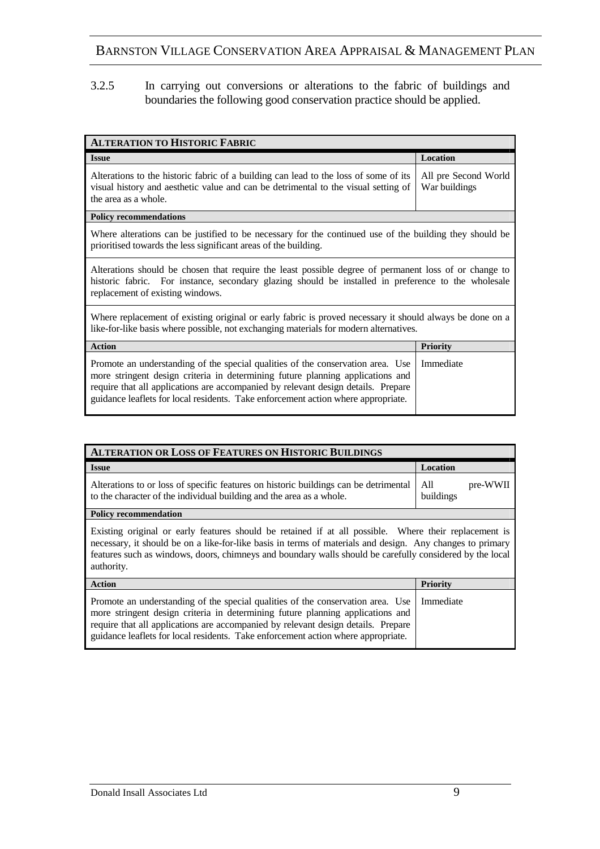3.2.5 In carrying out conversions or alterations to the fabric of buildings and boundaries the following good conservation practice should be applied.

| <b>ALTERATION TO HISTORIC FABRIC</b>                                                                                                                                                                                                                                                                                                        |                                       |
|---------------------------------------------------------------------------------------------------------------------------------------------------------------------------------------------------------------------------------------------------------------------------------------------------------------------------------------------|---------------------------------------|
| <b>Issue</b>                                                                                                                                                                                                                                                                                                                                | Location                              |
| Alterations to the historic fabric of a building can lead to the loss of some of its<br>visual history and aesthetic value and can be detrimental to the visual setting of<br>the area as a whole.                                                                                                                                          | All pre Second World<br>War buildings |
| <b>Policy recommendations</b>                                                                                                                                                                                                                                                                                                               |                                       |
| Where alterations can be justified to be necessary for the continued use of the building they should be<br>prioritised towards the less significant areas of the building.                                                                                                                                                                  |                                       |
| Alterations should be chosen that require the least possible degree of permanent loss of or change to<br>historic fabric. For instance, secondary glazing should be installed in preference to the wholesale<br>replacement of existing windows.                                                                                            |                                       |
| Where replacement of existing original or early fabric is proved necessary it should always be done on a<br>like-for-like basis where possible, not exchanging materials for modern alternatives.                                                                                                                                           |                                       |
| <b>Action</b>                                                                                                                                                                                                                                                                                                                               | <b>Priority</b>                       |
| Promote an understanding of the special qualities of the conservation area. Use<br>more stringent design criteria in determining future planning applications and<br>require that all applications are accompanied by relevant design details. Prepare<br>guidance leaflets for local residents. Take enforcement action where appropriate. | Immediate                             |

| <b>ALTERATION OR LOSS OF FEATURES ON HISTORIC BUILDINGS</b>                                                                                                                                                                                                                                                                                  |                              |
|----------------------------------------------------------------------------------------------------------------------------------------------------------------------------------------------------------------------------------------------------------------------------------------------------------------------------------------------|------------------------------|
| <b>Issue</b>                                                                                                                                                                                                                                                                                                                                 | Location                     |
| Alterations to or loss of specific features on historic buildings can be detrimental<br>to the character of the individual building and the area as a whole.                                                                                                                                                                                 | pre-WWII<br>All<br>buildings |
| <b>Policy recommendation</b>                                                                                                                                                                                                                                                                                                                 |                              |
| Existing original or early features should be retained if at all possible. Where their replacement is<br>necessary, it should be on a like-for-like basis in terms of materials and design. Any changes to primary<br>features such as windows, doors, chimneys and boundary walls should be carefully considered by the local<br>authority. |                              |
| <b>Action</b>                                                                                                                                                                                                                                                                                                                                | <b>Priority</b>              |
| Promote an understanding of the special qualities of the conservation area. Use<br>more stringent design criteria in determining future planning applications and<br>require that all applications are accompanied by relevant design details. Prepare<br>guidance leaflets for local residents. Take enforcement action where appropriate.  | Immediate                    |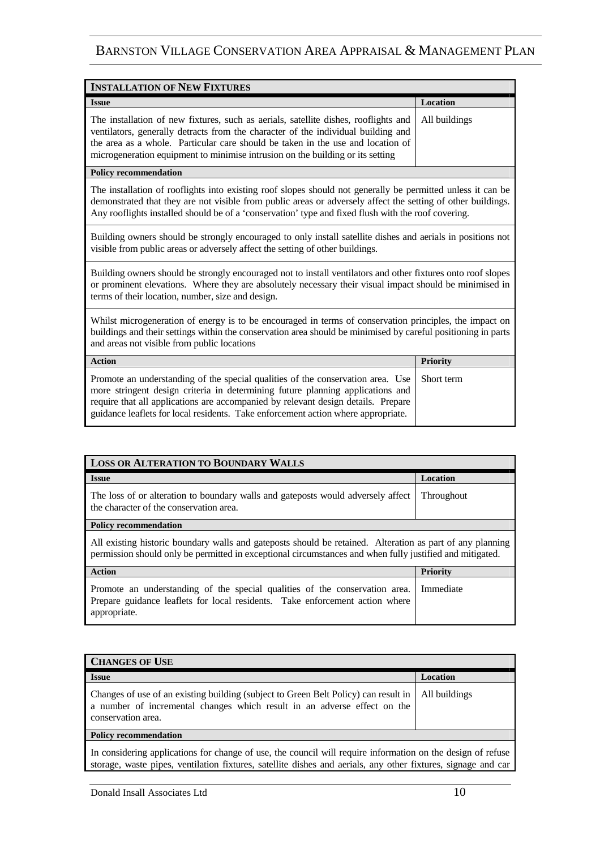| <b>INSTALLATION OF NEW FIXTURES</b>                                                                                                                                                                                                                                                                                                                           |          |
|---------------------------------------------------------------------------------------------------------------------------------------------------------------------------------------------------------------------------------------------------------------------------------------------------------------------------------------------------------------|----------|
| <b>Issue</b>                                                                                                                                                                                                                                                                                                                                                  | Location |
| The installation of new fixtures, such as aerials, satellite dishes, rooflights and   All buildings<br>ventilators, generally detracts from the character of the individual building and<br>the area as a whole. Particular care should be taken in the use and location of<br>microgeneration equipment to minimise intrusion on the building or its setting |          |

#### **Policy recommendation**

The installation of rooflights into existing roof slopes should not generally be permitted unless it can be demonstrated that they are not visible from public areas or adversely affect the setting of other buildings. Any rooflights installed should be of a 'conservation' type and fixed flush with the roof covering.

Building owners should be strongly encouraged to only install satellite dishes and aerials in positions not visible from public areas or adversely affect the setting of other buildings.

Building owners should be strongly encouraged not to install ventilators and other fixtures onto roof slopes or prominent elevations. Where they are absolutely necessary their visual impact should be minimised in terms of their location, number, size and design.

Whilst microgeneration of energy is to be encouraged in terms of conservation principles, the impact on buildings and their settings within the conservation area should be minimised by careful positioning in parts and areas not visible from public locations

| <b>Action</b>                                                                                                                                                                                                                                                                                                                                          | <b>Priority</b> |
|--------------------------------------------------------------------------------------------------------------------------------------------------------------------------------------------------------------------------------------------------------------------------------------------------------------------------------------------------------|-----------------|
| Promote an understanding of the special qualities of the conservation area. Use Short term<br>more stringent design criteria in determining future planning applications and<br>require that all applications are accompanied by relevant design details. Prepare<br>guidance leaflets for local residents. Take enforcement action where appropriate. |                 |

| <b>LOSS OR ALTERATION TO BOUNDARY WALLS</b>                                                                                                                                                                           |            |
|-----------------------------------------------------------------------------------------------------------------------------------------------------------------------------------------------------------------------|------------|
|                                                                                                                                                                                                                       |            |
| <b>Issue</b>                                                                                                                                                                                                          | Location   |
| The loss of or alteration to boundary walls and gateposts would adversely affect<br>the character of the conservation area.                                                                                           | Throughout |
| <b>Policy recommendation</b>                                                                                                                                                                                          |            |
| All existing historic boundary walls and gateposts should be retained. Alteration as part of any planning<br>permission should only be permitted in exceptional circumstances and when fully justified and mitigated. |            |
| <b>Action</b>                                                                                                                                                                                                         | Priority   |
| Promote an understanding of the special qualities of the conservation area.<br>Prepare guidance leaflets for local residents. Take enforcement action where<br>appropriate.                                           | Immediate  |

| <b>CHANGES OF USE</b>                                                                                                                                                                 |               |
|---------------------------------------------------------------------------------------------------------------------------------------------------------------------------------------|---------------|
| <b>Issue</b>                                                                                                                                                                          | Location      |
| Changes of use of an existing building (subject to Green Belt Policy) can result in<br>a number of incremental changes which result in an adverse effect on the<br>conservation area. | All buildings |
| Policy recommendation                                                                                                                                                                 |               |
| In considering applications for change of use, the council will require information on the design of refuse                                                                           |               |

storage, waste pipes, ventilation fixtures, satellite dishes and aerials, any other fixtures, signage and car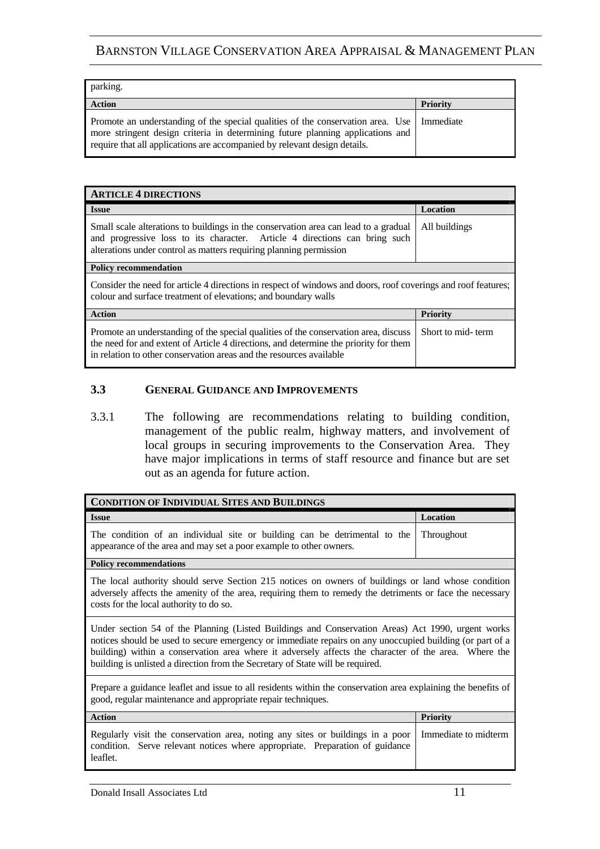| parking.                                                                                                                                                                                                                                                   |                 |
|------------------------------------------------------------------------------------------------------------------------------------------------------------------------------------------------------------------------------------------------------------|-----------------|
| <b>Action</b>                                                                                                                                                                                                                                              | <b>Priority</b> |
| Promote an understanding of the special qualities of the conservation area. Use   Immediate<br>more stringent design criteria in determining future planning applications and<br>require that all applications are accompanied by relevant design details. |                 |

| <b>ARTICLE 4 DIRECTIONS</b>                                                                                                                                                                                                                        |                   |
|----------------------------------------------------------------------------------------------------------------------------------------------------------------------------------------------------------------------------------------------------|-------------------|
| <b>Issue</b>                                                                                                                                                                                                                                       | Location          |
| Small scale alterations to buildings in the conservation area can lead to a gradual<br>and progressive loss to its character. Article 4 directions can bring such<br>alterations under control as matters requiring planning permission            | All buildings     |
| <b>Policy recommendation</b>                                                                                                                                                                                                                       |                   |
| Consider the need for article 4 directions in respect of windows and doors, roof coverings and roof features;<br>colour and surface treatment of elevations; and boundary walls                                                                    |                   |
| <b>Action</b>                                                                                                                                                                                                                                      | Priority          |
| Promote an understanding of the special qualities of the conservation area, discuss<br>the need for and extent of Article 4 directions, and determine the priority for them<br>in relation to other conservation areas and the resources available | Short to mid-term |

#### **3.3 GENERAL GUIDANCE AND IMPROVEMENTS**

3.3.1 The following are recommendations relating to building condition, management of the public realm, highway matters, and involvement of local groups in securing improvements to the Conservation Area. They have major implications in terms of staff resource and finance but are set out as an agenda for future action.

| <b>CONDITION OF INDIVIDUAL SITES AND BUILDINGS</b>                                                                                                                                                                                                                                                                                                                                                      |                      |
|---------------------------------------------------------------------------------------------------------------------------------------------------------------------------------------------------------------------------------------------------------------------------------------------------------------------------------------------------------------------------------------------------------|----------------------|
| <b>Issue</b>                                                                                                                                                                                                                                                                                                                                                                                            | Location             |
| The condition of an individual site or building can be detrimental to the<br>appearance of the area and may set a poor example to other owners.                                                                                                                                                                                                                                                         | Throughout           |
| <b>Policy recommendations</b>                                                                                                                                                                                                                                                                                                                                                                           |                      |
| The local authority should serve Section 215 notices on owners of buildings or land whose condition<br>adversely affects the amenity of the area, requiring them to remedy the detriments or face the necessary<br>costs for the local authority to do so.                                                                                                                                              |                      |
| Under section 54 of the Planning (Listed Buildings and Conservation Areas) Act 1990, urgent works<br>notices should be used to secure emergency or immediate repairs on any unoccupied building (or part of a<br>building) within a conservation area where it adversely affects the character of the area. Where the<br>building is unlisted a direction from the Secretary of State will be required. |                      |
| Prepare a guidance leaflet and issue to all residents within the conservation area explaining the benefits of<br>good, regular maintenance and appropriate repair techniques.                                                                                                                                                                                                                           |                      |
| <b>Action</b>                                                                                                                                                                                                                                                                                                                                                                                           | <b>Priority</b>      |
| Regularly visit the conservation area, noting any sites or buildings in a poor<br>condition. Serve relevant notices where appropriate. Preparation of guidance<br>leaflet.                                                                                                                                                                                                                              | Immediate to midterm |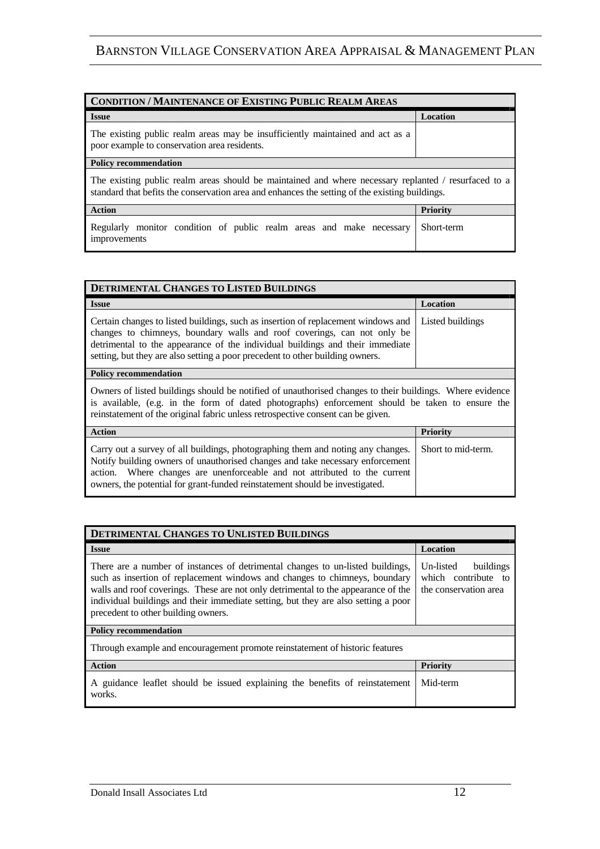| <b>CONDITION / MAINTENANCE OF EXISTING PUBLIC REALM AREAS</b>                                                                                                                                          |            |
|--------------------------------------------------------------------------------------------------------------------------------------------------------------------------------------------------------|------------|
| <b>Issue</b>                                                                                                                                                                                           | Location   |
| The existing public realm areas may be insufficiently maintained and act as a<br>poor example to conservation area residents.                                                                          |            |
| <b>Policy recommendation</b>                                                                                                                                                                           |            |
| The existing public realm areas should be maintained and where necessary replanted / resurfaced to a<br>standard that befits the conservation area and enhances the setting of the existing buildings. |            |
| <b>Action</b>                                                                                                                                                                                          | Priority   |
| Regularly monitor condition of public realm areas and make necessary<br>improvements                                                                                                                   | Short-term |

| <b>DETRIMENTAL CHANGES TO LISTED BUILDINGS</b>                                                                                                                                                                                                                                                                                 |                    |
|--------------------------------------------------------------------------------------------------------------------------------------------------------------------------------------------------------------------------------------------------------------------------------------------------------------------------------|--------------------|
| <b>Issue</b>                                                                                                                                                                                                                                                                                                                   | Location           |
| Certain changes to listed buildings, such as insertion of replacement windows and<br>changes to chimneys, boundary walls and roof coverings, can not only be<br>detrimental to the appearance of the individual buildings and their immediate<br>setting, but they are also setting a poor precedent to other building owners. | Listed buildings   |
| <b>Policy recommendation</b>                                                                                                                                                                                                                                                                                                   |                    |
| Owners of listed buildings should be notified of unauthorised changes to their buildings. Where evidence<br>is available, (e.g. in the form of dated photographs) enforcement should be taken to ensure the<br>reinstatement of the original fabric unless retrospective consent can be given.                                 |                    |
| <b>Action</b>                                                                                                                                                                                                                                                                                                                  | <b>Priority</b>    |
| Carry out a survey of all buildings, photographing them and noting any changes.<br>Notify building owners of unauthorised changes and take necessary enforcement<br>action. Where changes are unenforceable and not attributed to the current<br>owners, the potential for grant-funded reinstatement should be investigated.  | Short to mid-term. |

| DETRIMENTAL CHANGES TO UNLISTED BUILDINGS                                                                                                                                                                                                                                                                                                                                      |                                                                        |  |
|--------------------------------------------------------------------------------------------------------------------------------------------------------------------------------------------------------------------------------------------------------------------------------------------------------------------------------------------------------------------------------|------------------------------------------------------------------------|--|
| <b>Issue</b>                                                                                                                                                                                                                                                                                                                                                                   | <b>Location</b>                                                        |  |
| There are a number of instances of detrimental changes to un-listed buildings,<br>such as insertion of replacement windows and changes to chimneys, boundary<br>walls and roof coverings. These are not only detrimental to the appearance of the<br>individual buildings and their immediate setting, but they are also setting a poor<br>precedent to other building owners. | Un-listed<br>buildings<br>which contribute to<br>the conservation area |  |
| <b>Policy recommendation</b>                                                                                                                                                                                                                                                                                                                                                   |                                                                        |  |
| Through example and encouragement promote reinstatement of historic features                                                                                                                                                                                                                                                                                                   |                                                                        |  |
| <b>Action</b>                                                                                                                                                                                                                                                                                                                                                                  | Priority                                                               |  |
| A guidance leaflet should be issued explaining the benefits of reinstatement<br>works.                                                                                                                                                                                                                                                                                         | Mid-term                                                               |  |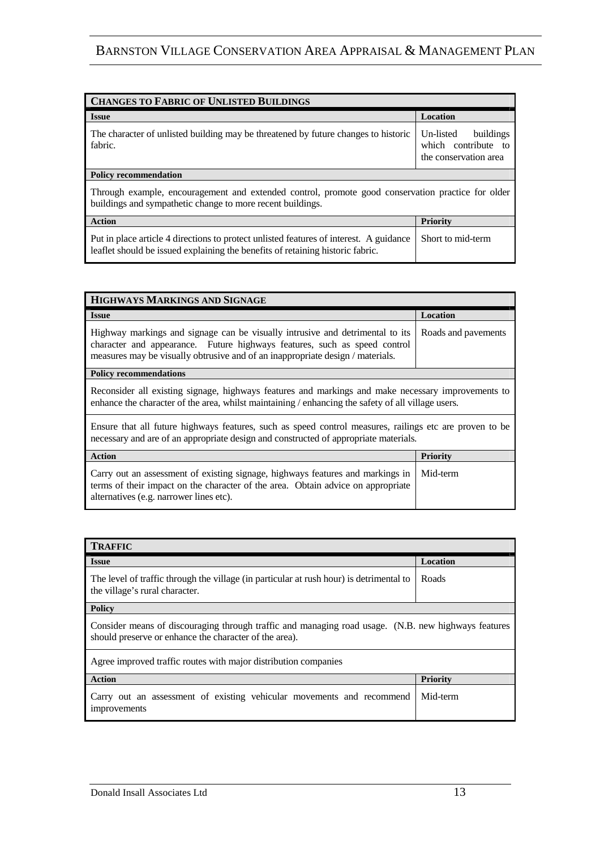| <b>CHANGES TO FABRIC OF UNLISTED BUILDINGS</b>                                                                                                                           |                                                                        |  |
|--------------------------------------------------------------------------------------------------------------------------------------------------------------------------|------------------------------------------------------------------------|--|
| <b>Issue</b>                                                                                                                                                             | <b>Location</b>                                                        |  |
| The character of unlisted building may be threatened by future changes to historic<br>fabric.                                                                            | Un-listed<br>buildings<br>which contribute to<br>the conservation area |  |
| <b>Policy recommendation</b>                                                                                                                                             |                                                                        |  |
| Through example, encouragement and extended control, promote good conservation practice for older<br>buildings and sympathetic change to more recent buildings.          |                                                                        |  |
| <b>Action</b>                                                                                                                                                            | <b>Priority</b>                                                        |  |
| Put in place article 4 directions to protect unlisted features of interest. A guidance<br>leaflet should be issued explaining the benefits of retaining historic fabric. | Short to mid-term                                                      |  |

| HIGHWAYS MARKINGS AND SIGNAGE                                                                                                                                                                                                                |                     |  |
|----------------------------------------------------------------------------------------------------------------------------------------------------------------------------------------------------------------------------------------------|---------------------|--|
| <b>Issue</b>                                                                                                                                                                                                                                 | Location            |  |
| Highway markings and signage can be visually intrusive and detrimental to its<br>character and appearance. Future highways features, such as speed control<br>measures may be visually obtrusive and of an inappropriate design / materials. | Roads and pavements |  |
| <b>Policy recommendations</b>                                                                                                                                                                                                                |                     |  |
| Reconsider all existing signage, highways features and markings and make necessary improvements to<br>enhance the character of the area, whilst maintaining / enhancing the safety of all village users.                                     |                     |  |
| Ensure that all future highways features, such as speed control measures, railings etc are proven to be<br>necessary and are of an appropriate design and constructed of appropriate materials.                                              |                     |  |
| <b>Action</b>                                                                                                                                                                                                                                | <b>Priority</b>     |  |
| Carry out an assessment of existing signage, highways features and markings in<br>terms of their impact on the character of the area. Obtain advice on appropriate<br>alternatives (e.g. narrower lines etc).                                | Mid-term            |  |

| <b>TRAFFIC</b>                                                                                                                                                |                 |  |
|---------------------------------------------------------------------------------------------------------------------------------------------------------------|-----------------|--|
| <b>Issue</b>                                                                                                                                                  | <b>Location</b> |  |
| The level of traffic through the village (in particular at rush hour) is detrimental to<br>the village's rural character.                                     | Roads           |  |
| <b>Policy</b>                                                                                                                                                 |                 |  |
| Consider means of discouraging through traffic and managing road usage. (N.B. new highways features<br>should preserve or enhance the character of the area). |                 |  |
| Agree improved traffic routes with major distribution companies                                                                                               |                 |  |
| <b>Action</b>                                                                                                                                                 | Priority        |  |
| Carry out an assessment of existing vehicular movements and recommend<br>improvements                                                                         | Mid-term        |  |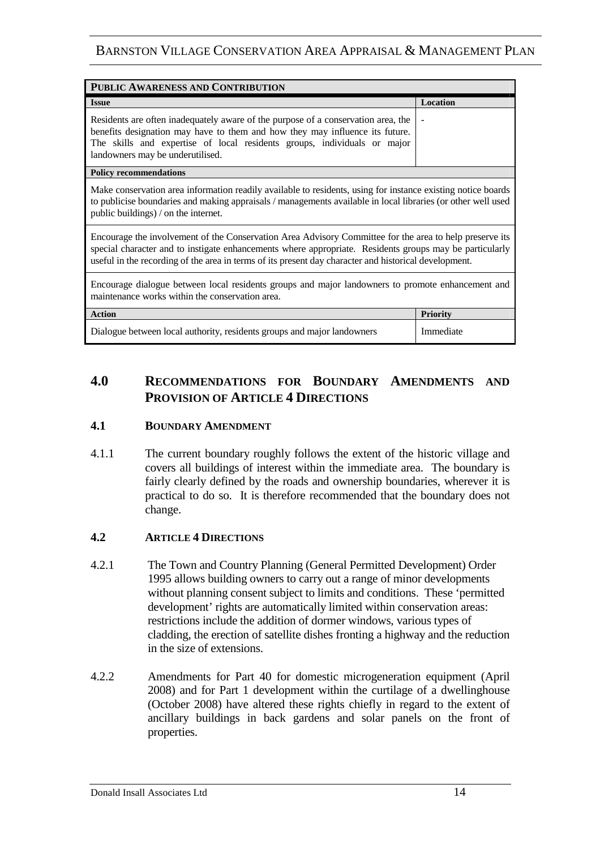| PUBLIC AWARENESS AND CONTRIBUTION                                                                                                                                                                                                                                                                                           |                 |  |
|-----------------------------------------------------------------------------------------------------------------------------------------------------------------------------------------------------------------------------------------------------------------------------------------------------------------------------|-----------------|--|
| <b>Issue</b>                                                                                                                                                                                                                                                                                                                | Location        |  |
| Residents are often inadequately aware of the purpose of a conservation area, the<br>benefits designation may have to them and how they may influence its future.<br>The skills and expertise of local residents groups, individuals or major<br>landowners may be underutilised.                                           |                 |  |
| <b>Policy recommendations</b>                                                                                                                                                                                                                                                                                               |                 |  |
| Make conservation area information readily available to residents, using for instance existing notice boards<br>to publicise boundaries and making appraisals / managements available in local libraries (or other well used<br>public buildings) / on the internet.                                                        |                 |  |
| Encourage the involvement of the Conservation Area Advisory Committee for the area to help preserve its<br>special character and to instigate enhancements where appropriate. Residents groups may be particularly<br>useful in the recording of the area in terms of its present day character and historical development. |                 |  |
| Encourage dialogue between local residents groups and major landowners to promote enhancement and<br>maintenance works within the conservation area.                                                                                                                                                                        |                 |  |
| <b>Action</b>                                                                                                                                                                                                                                                                                                               | <b>Priority</b> |  |
| Dialogue between local authority, residents groups and major landowners                                                                                                                                                                                                                                                     | Immediate       |  |

# **4.0 RECOMMENDATIONS FOR BOUNDARY AMENDMENTS AND PROVISION OF ARTICLE 4 DIRECTIONS**

#### **4.1 BOUNDARY AMENDMENT**

4.1.1 The current boundary roughly follows the extent of the historic village and covers all buildings of interest within the immediate area. The boundary is fairly clearly defined by the roads and ownership boundaries, wherever it is practical to do so. It is therefore recommended that the boundary does not change.

#### **4.2 ARTICLE 4 DIRECTIONS**

- 4.2.1 The Town and Country Planning (General Permitted Development) Order 1995 allows building owners to carry out a range of minor developments without planning consent subject to limits and conditions. These 'permitted development' rights are automatically limited within conservation areas: restrictions include the addition of dormer windows, various types of cladding, the erection of satellite dishes fronting a highway and the reduction in the size of extensions.
- 4.2.2 Amendments for Part 40 for domestic microgeneration equipment (April 2008) and for Part 1 development within the curtilage of a dwellinghouse (October 2008) have altered these rights chiefly in regard to the extent of ancillary buildings in back gardens and solar panels on the front of properties.